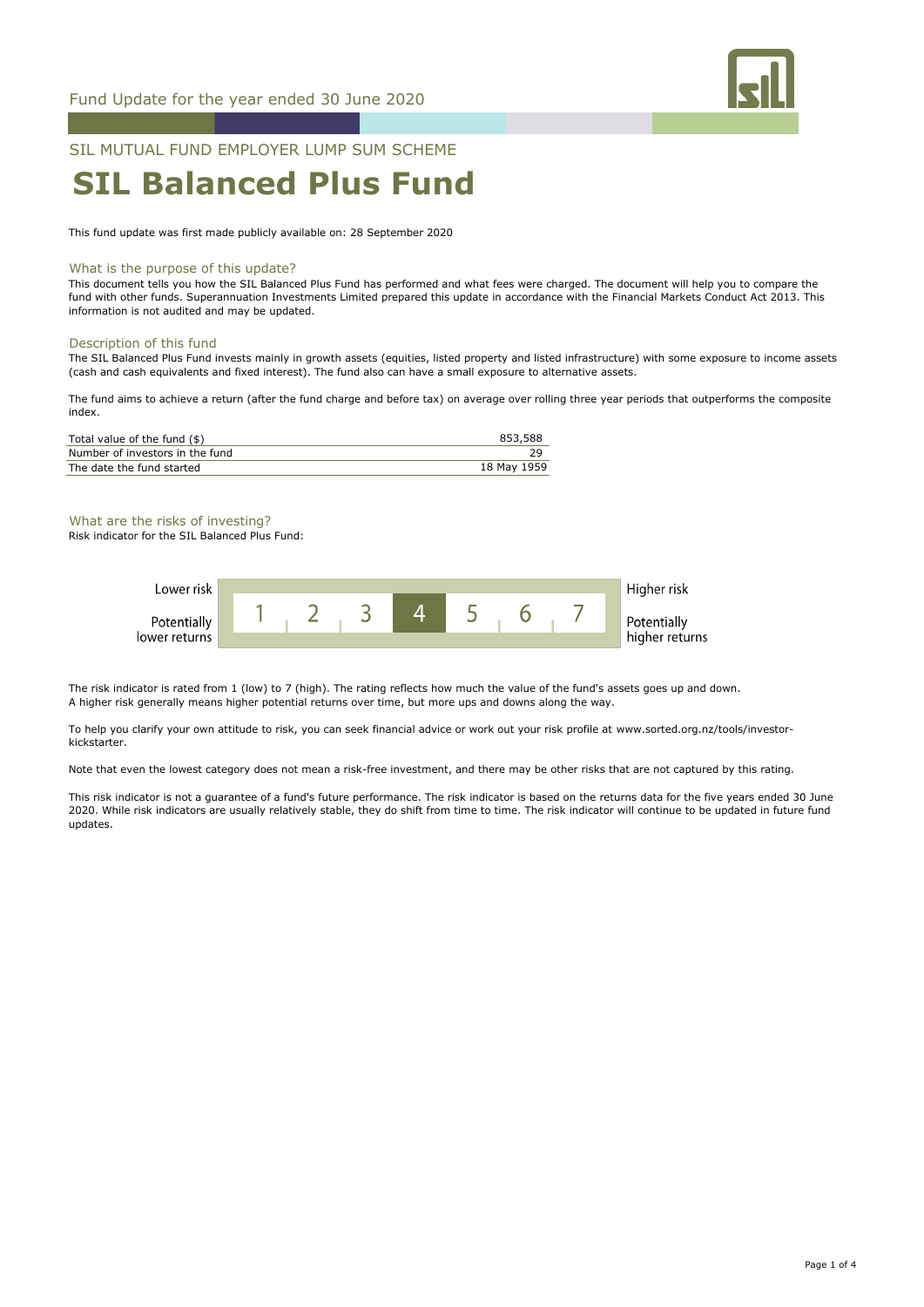

## SIL MUTUAL FUND EMPLOYER LUMP SUM SCHEME

# **SIL Balanced Plus Fund**

This fund update was first made publicly available on: 28 September 2020

#### What is the purpose of this update?

This document tells you how the SIL Balanced Plus Fund has performed and what fees were charged. The document will help you to compare the fund with other funds. Superannuation Investments Limited prepared this update in accordance with the Financial Markets Conduct Act 2013. This information is not audited and may be updated.

#### Description of this fund

The SIL Balanced Plus Fund invests mainly in growth assets (equities, listed property and listed infrastructure) with some exposure to income assets (cash and cash equivalents and fixed interest). The fund also can have a small exposure to alternative assets.

The fund aims to achieve a return (after the fund charge and before tax) on average over rolling three year periods that outperforms the composite index.

| Total value of the fund (\$)    | 853.588     |
|---------------------------------|-------------|
| Number of investors in the fund |             |
| The date the fund started       | 18 May 1959 |

What are the risks of investing? Risk indicator for the SIL Balanced Plus Fund:



The risk indicator is rated from 1 (low) to 7 (high). The rating reflects how much the value of the fund's assets goes up and down. A higher risk generally means higher potential returns over time, but more ups and downs along the way.

To help you clarify your own attitude to risk, you can seek financial advice or work out your risk profile at www.sorted.org.nz/tools/investorkickstarter.

Note that even the lowest category does not mean a risk-free investment, and there may be other risks that are not captured by this rating.

This risk indicator is not a guarantee of a fund's future performance. The risk indicator is based on the returns data for the five years ended 30 June 2020. While risk indicators are usually relatively stable, they do shift from time to time. The risk indicator will continue to be updated in future fund updates.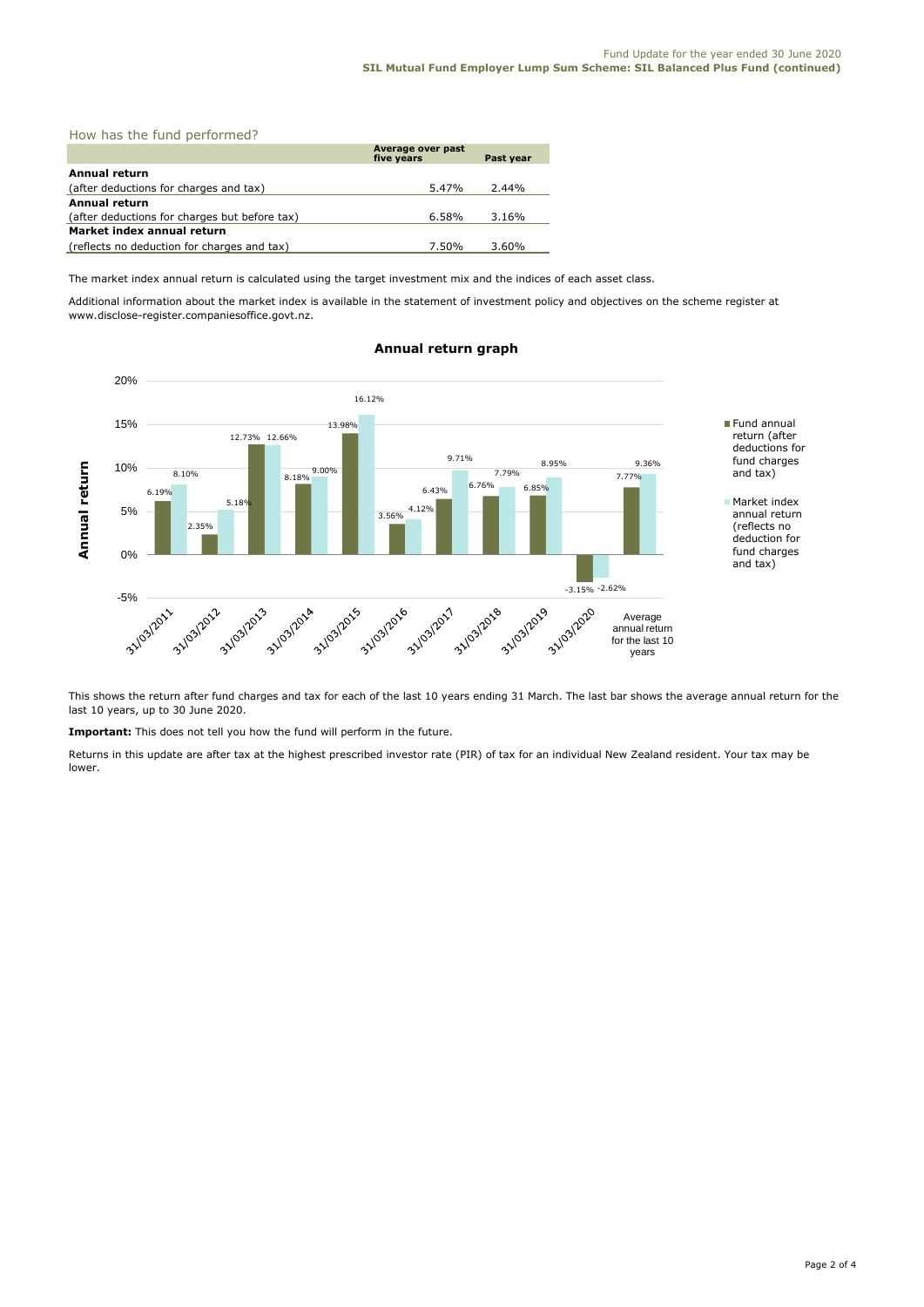| How has the fund performed?                   |                                 |           |  |  |
|-----------------------------------------------|---------------------------------|-----------|--|--|
|                                               | Average over past<br>five years | Past year |  |  |
| Annual return                                 |                                 |           |  |  |
| (after deductions for charges and tax)        | 5.47%                           | 2.44%     |  |  |
| <b>Annual return</b>                          |                                 |           |  |  |
| (after deductions for charges but before tax) | 6.58%                           | 3.16%     |  |  |
| Market index annual return                    |                                 |           |  |  |
| (reflects no deduction for charges and tax)   | 7.50%                           | 3.60%     |  |  |

The market index annual return is calculated using the target investment mix and the indices of each asset class.

Additional information about the market index is available in the statement of investment policy and objectives on the scheme register at www.disclose-register.companiesoffice.govt.nz.



### **Annual return graph**

This shows the return after fund charges and tax for each of the last 10 years ending 31 March. The last bar shows the average annual return for the last 10 years, up to 30 June 2020.

**Important:** This does not tell you how the fund will perform in the future.

Returns in this update are after tax at the highest prescribed investor rate (PIR) of tax for an individual New Zealand resident. Your tax may be lower.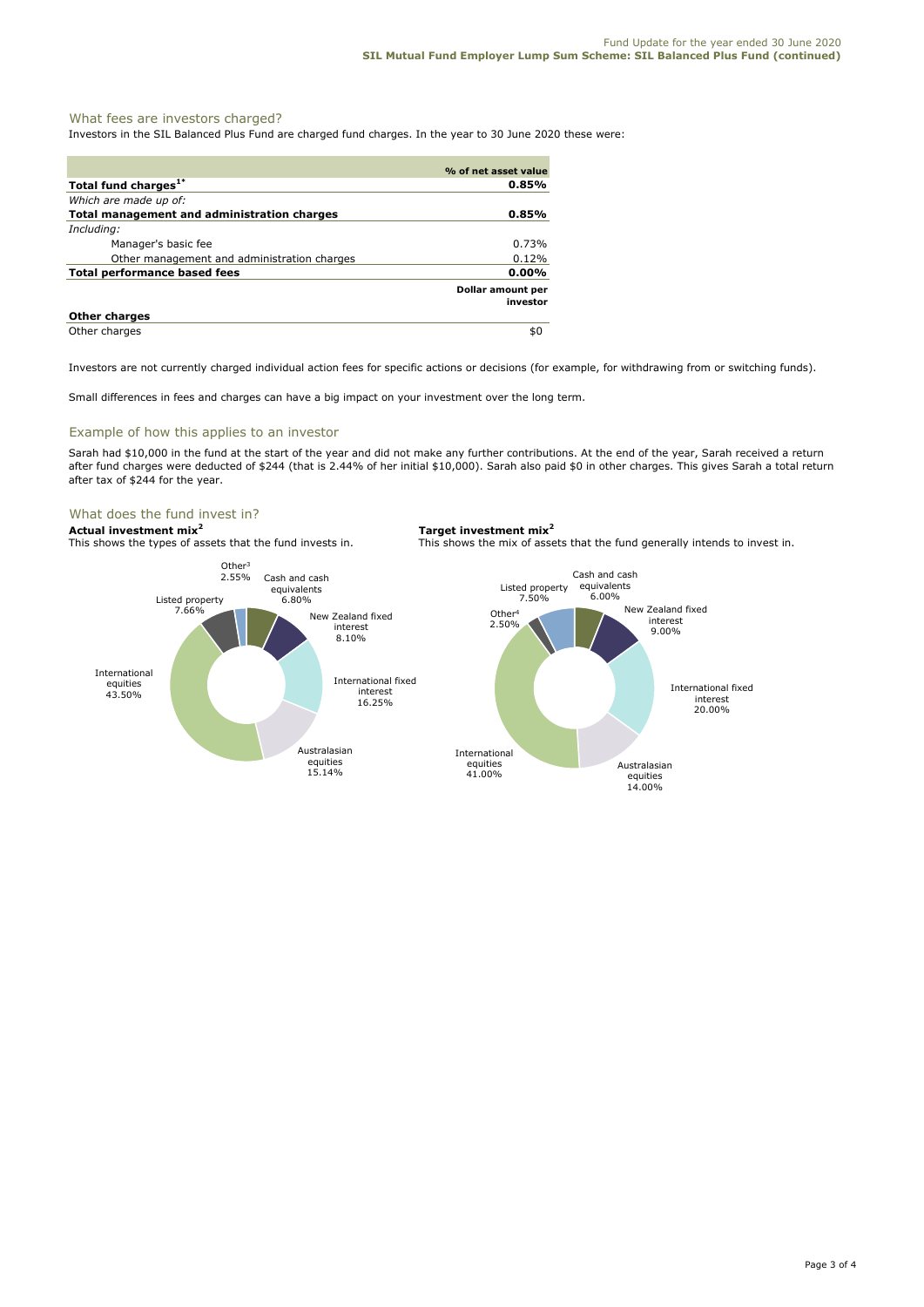### What fees are investors charged?

Investors in the SIL Balanced Plus Fund are charged fund charges. In the year to 30 June 2020 these were:

|                                             | % of net asset value                 |
|---------------------------------------------|--------------------------------------|
| Total fund charges <sup>1*</sup>            | 0.85%                                |
| Which are made up of:                       |                                      |
| Total management and administration charges | 0.85%                                |
| Including:                                  |                                      |
| Manager's basic fee                         | 0.73%                                |
| Other management and administration charges | 0.12%                                |
| Total performance based fees                | $0.00\%$                             |
|                                             | <b>Dollar amount per</b><br>investor |
| <b>Other charges</b>                        |                                      |
| Other charges                               | \$0                                  |

Investors are not currently charged individual action fees for specific actions or decisions (for example, for withdrawing from or switching funds).

Small differences in fees and charges can have a big impact on your investment over the long term.

#### Example of how this applies to an investor

Sarah had \$10,000 in the fund at the start of the year and did not make any further contributions. At the end of the year, Sarah received a return after fund charges were deducted of \$244 (that is 2.44% of her initial \$10,000). Sarah also paid \$0 in other charges. This gives Sarah a total return after tax of \$244 for the year.

#### What does the fund invest in?

**Actual investment mix<sup>2</sup> <b>Target investment mix**<sup>2</sup> **This shows the types of assets that the fund invests in.** This shows the mix of assets

This shows the mix of assets that the fund generally intends to invest in.